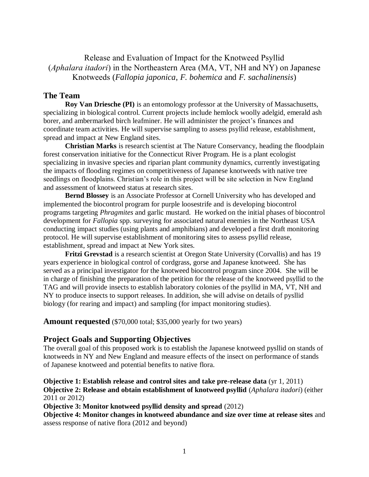# Release and Evaluation of Impact for the Knotweed Psyllid (*Aphalara itadori*) in the Northeastern Area (MA, VT, NH and NY) on Japanese Knotweeds (*Fallopia japonica*, *F. bohemica* and *F. sachalinensis*)

## **The Team**

**Roy Van Driesche (PI)** is an entomology professor at the University of Massachusetts, specializing in biological control. Current projects include hemlock woolly adelgid, emerald ash borer, and ambermarked birch leafminer. He will administer the project's finances and coordinate team activities. He will supervise sampling to assess psyllid release, establishment, spread and impact at New England sites.

**Christian Marks** is research scientist at The Nature Conservancy, heading the floodplain forest conservation initiative for the Connecticut River Program. He is a plant ecologist specializing in invasive species and riparian plant community dynamics, currently investigating the impacts of flooding regimes on competitiveness of Japanese knotweeds with native tree seedlings on floodplains. Christian's role in this project will be site selection in New England and assessment of knotweed status at research sites.

**Bernd Blossey** is an Associate Professor at Cornell University who has developed and implemented the biocontrol program for purple loosestrife and is developing biocontrol programs targeting *Phragmites* and garlic mustard. He worked on the initial phases of biocontrol development for *Fallopia* spp. surveying for associated natural enemies in the Northeast USA conducting impact studies (using plants and amphibians) and developed a first draft monitoring protocol. He will supervise establishment of monitoring sites to assess psyllid release, establishment, spread and impact at New York sites.

**Fritzi Grevstad** is a research scientist at Oregon State University (Corvallis) and has 19 years experience in biological control of cordgrass, gorse and Japanese knotweed. She has served as a principal investigator for the knotweed biocontrol program since 2004. She will be in charge of finishing the preparation of the petition for the release of the knotweed psyllid to the TAG and will provide insects to establish laboratory colonies of the psyllid in MA, VT, NH and NY to produce insects to support releases. In addition, she will advise on details of pysllid biology (for rearing and impact) and sampling (for impact monitoring studies).

**Amount requested** (\$70,000 total; \$35,000 yearly for two years)

# **Project Goals and Supporting Objectives**

The overall goal of this proposed work is to establish the Japanese knotweed pysllid on stands of knotweeds in NY and New England and measure effects of the insect on performance of stands of Japanese knotweed and potential benefits to native flora.

#### **Objective 1: Establish release and control sites and take pre-release data** (yr 1, 2011) **Objective 2: Release and obtain establishment of knotweed psyllid** (*Aphalara itadori*) (either 2011 or 2012)

**Objective 3: Monitor knotweed psyllid density and spread** (2012)

**Objective 4: Monitor changes in knotweed abundance and size over time at release sites** and assess response of native flora (2012 and beyond)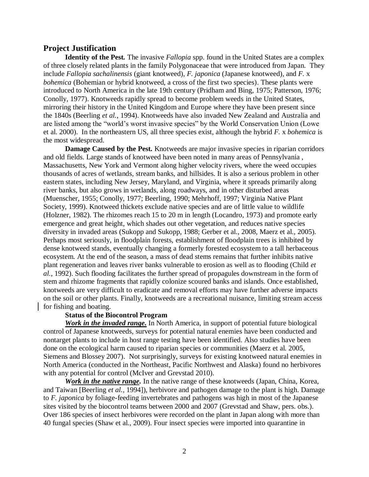### **Project Justification**

**Identity of the Pest***.* The invasive *Fallopia* spp. found in the United States are a complex of three closely related plants in the family Polygonaceae that were introduced from Japan. They include *Fallopia sachalinensis* (giant knotweed), *F. japonica* (Japanese knotweed)*,* and *F.* x *bohemica* (Bohemian or hybrid knotweed, a cross of the first two species). These plants were introduced to North America in the late 19th century (Pridham and Bing, 1975; Patterson, 1976; Conolly, 1977). Knotweeds rapidly spread to become problem weeds in the United States, mirroring their history in the United Kingdom and Europe where they have been present since the 1840s (Beerling *et al.*, 1994). Knotweeds have also invaded New Zealand and Australia and are listed among the "world's worst invasive species" by the World Conservation Union (Lowe et al. 2000). In the northeastern US, all three species exist, although the hybrid *F.* x *bohemica* is the most widespread.

**Damage Caused by the Pest***.* Knotweeds are major invasive species in riparian corridors and old fields. Large stands of knotweed have been noted in many areas of Pennsylvania , Massachusetts, New York and Vermont along higher velocity rivers, where the weed occupies thousands of acres of wetlands, stream banks, and hillsides. It is also a serious problem in other eastern states, including New Jersey, Maryland, and Virginia, where it spreads primarily along river banks, but also grows in wetlands, along roadways, and in other disturbed areas (Muenscher, 1955; Conolly, 1977; Beerling, 1990; Mehrhoff, 1997; Virginia Native Plant Society, 1999). Knotweed thickets exclude native species and are of little value to wildlife (Holzner, 1982). The rhizomes reach 15 to 20 m in length (Locandro, 1973) and promote early emergence and great height, which shades out other vegetation, and reduces native species diversity in invaded areas (Sukopp and Sukopp, 1988; Gerber et al., 2008, Maerz et al., 2005). Perhaps most seriously, in floodplain forests, establishment of floodplain trees is inhibited by dense knotweed stands, eventually changing a formerly forested ecosystem to a tall herbaceous ecosystem. At the end of the season, a mass of dead stems remains that further inhibits native plant regeneration and leaves river banks vulnerable to erosion as well as to flooding (Child *et al.*, 1992). Such flooding facilitates the further spread of propagules downstream in the form of stem and rhizome fragments that rapidly colonize scoured banks and islands. Once established, knotweeds are very difficult to eradicate and removal efforts may have further adverse impacts on the soil or other plants. Finally, knotweeds are a recreational nuisance, limiting stream access for fishing and boating.

# **Status of the Biocontrol Program**

*Work in the invaded range***.** In North America, in support of potential future biological control of Japanese knotweeds, surveys for potential natural enemies have been conducted and nontarget plants to include in host range testing have been identified. Also studies have been done on the ecological harm caused to riparian species or communities (Maerz et al. 2005, Siemens and Blossey 2007). Not surprisingly, surveys for existing knotweed natural enemies in North America (conducted in the Northeast, Pacific Northwest and Alaska) found no herbivores with any potential for control (McIver and Grevstad 2010).

*Work in the native range.* In the native range of these knotweeds (Japan, China, Korea, and Taiwan [Beerling *et al.*, 1994]), herbivore and pathogen damage to the plant is high. Damage to *F. japonica* by foliage-feeding invertebrates and pathogens was high in most of the Japanese sites visited by the biocontrol teams between 2000 and 2007 (Grevstad and Shaw, pers. obs.). Over 186 species of insect herbivores were recorded on the plant in Japan along with more than 40 fungal species (Shaw et al., 2009). Four insect species were imported into quarantine in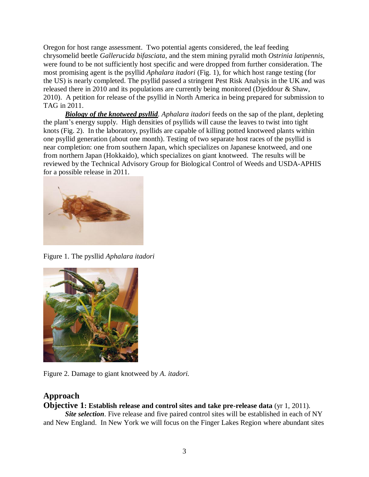Oregon for host range assessment. Two potential agents considered, the leaf feeding chrysomelid beetle *Gallerucida bifasciata,* and the stem mining pyralid moth *Ostrinia latipennis,* were found to be not sufficiently host specific and were dropped from further consideration. The most promising agent is the psyllid *Aphalara itadori* (Fig. 1), for which host range testing (for the US) is nearly completed. The psyllid passed a stringent Pest Risk Analysis in the UK and was released there in 2010 and its populations are currently being monitored (Djeddour & Shaw, 2010). A petition for release of the psyllid in North America in being prepared for submission to TAG in 2011.

*Biology of the knotweed psyllid. Aphalara itadori* feeds on the sap of the plant, depleting the plant's energy supply. High densities of psyllids will cause the leaves to twist into tight knots (Fig. 2). In the laboratory, psyllids are capable of killing potted knotweed plants within one psyllid generation (about one month). Testing of two separate host races of the psyllid is near completion: one from southern Japan, which specializes on Japanese knotweed, and one from northern Japan (Hokkaido), which specializes on giant knotweed. The results will be reviewed by the Technical Advisory Group for Biological Control of Weeds and USDA-APHIS for a possible release in 2011.



Figure 1. The pysllid *Aphalara itadori* 



Figure 2. Damage to giant knotweed by *A. itadori.*

# **Approach**

# **Objective 1: Establish release and control sites and take pre-release data** (yr 1, 2011).

*Site selection*. Five release and five paired control sites will be established in each of NY and New England. In New York we will focus on the Finger Lakes Region where abundant sites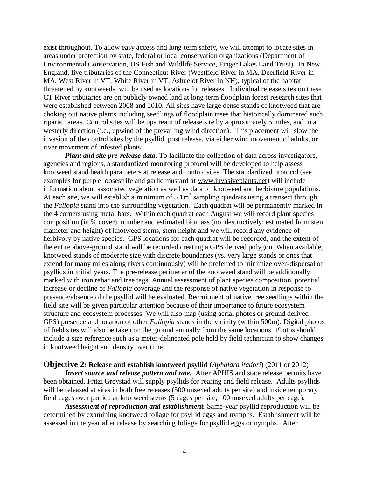exist throughout. To allow easy access and long term safety, we will attempt to locate sites in areas under protection by state, federal or local conservation organizations (Department of Environmental Conservation, US Fish and Wildlife Service, Finger Lakes Land Trust). In New England, five tributaries of the Connecticut River (Westfield River in MA, Deerfield River in MA, West River in VT, White River in VT, Ashuelot River in NH), typical of the habitat threatened by knotweeds, will be used as locations for releases. Individual release sites on these CT River tributaries are on publicly owned land at long term floodplain forest research sites that were established between 2008 and 2010. All sites have large dense stands of knotweed that are choking out native plants including seedlings of floodplain trees that historically dominated such riparian areas. Control sites will be upstream of release site by approximately 5 miles, and in a westerly direction (i.e., upwind of the prevailing wind direction). This placement will slow the invasion of the control sites by the psyllid, post release, via either wind movement of adults, or river movement of infested plants.

*Plant and site pre-release data.* To facilitate the collection of data across investigators, agencies and regions, a standardized monitoring protocol will be developed to help assess knotweed stand health parameters at release and control sites. The standardized protocol (see examples for purple loosestrife and garlic mustard at [www.invasiveplants.net\)](http://www.invasiveplants.net/) will include information about associated vegetation as well as data on knotweed and herbivore populations. At each site, we will establish a minimum of  $5 \text{ 1m}^2$  sampling quadrats using a transect through the *Fallopia* stand into the surrounding vegetation. Each quadrat will be permanently marked in the 4 corners using metal bars. Within each quadrat each August we will record plant species composition (in % cover), number and estimated biomass (nondestructively; estimated from stem diameter and height) of knotweed stems, stem height and we will record any evidence of herbivory by native species. GPS locations for each quadrat will be recorded, and the extent of the entire above-ground stand will be recorded creating a GPS derived polygon. When available, knotweed stands of moderate size with discrete boundaries (vs. very large stands or ones that extend for many miles along rivers continuously) will be preferred to minimize over-dispersal of psyllids in initial years. The pre-release perimeter of the knotweed stand will be additionally marked with iron rebar and tree tags. Annual assessment of plant species composition, potential increase or decline of *Fallopia* coverage and the response of native vegetation in response to presence/absence of the psyllid will be evaluated. Recruitment of native tree seedlings within the field site will be given particular attention because of their importance to future ecosystem structure and ecosystem processes. We will also map (using aerial photos or ground derived GPS) presence and location of other *Fallopia* stands in the vicinity (within 500m). Digital photos of field sites will also be taken on the ground annually from the same locations. Photos should include a size reference such as a meter-delineated pole held by field technician to show changes in knotweed height and density over time.

#### **Objective 2: Release and establish knotweed psyllid** (*Aphalara itadori*) (2011 or 2012)

*Insect source and release pattern and rate.* After APHIS and state release permits have been obtained, Fritzi Grevstad will supply psyllids for rearing and field release. Adults psyllids will be released at sites in both free releases (500 unsexed adults per site) and inside temporary field cages over particular knotweed stems (5 cages per site; 100 unsexed adults per cage).

*Assessment of reproduction and establishment.* Same-year psyllid reproduction will be determined by examining knotweed foliage for psyllid eggs and nymphs. Establishment will be assessed in the year after release by searching foliage for psyllid eggs or nymphs. After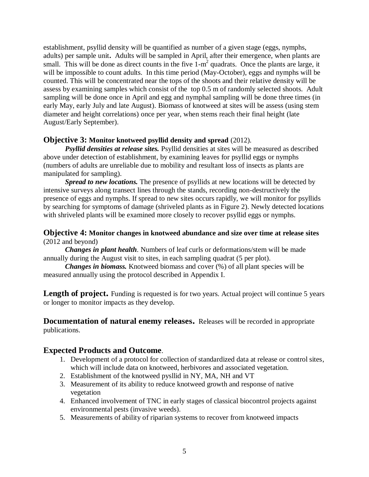establishment, psyllid density will be quantified as number of a given stage (eggs, nymphs, adults) per sample unit**.** Adults will be sampled in April, after their emergence, when plants are small. This will be done as direct counts in the five  $1-m^2$  quadrats. Once the plants are large, it will be impossible to count adults. In this time period (May-October), eggs and nymphs will be counted. This will be concentrated near the tops of the shoots and their relative density will be assess by examining samples which consist of the top 0.5 m of randomly selected shoots. Adult sampling will be done once in April and egg and nymphal sampling will be done three times (in early May, early July and late August). Biomass of knotweed at sites will be assess (using stem diameter and height correlations) once per year, when stems reach their final height (late August/Early September).

### **Objective 3: Monitor knotweed psyllid density and spread** (2012).

*Psyllid densities at release sites.* Psyllid densities at sites will be measured as described above under detection of establishment, by examining leaves for psyllid eggs or nymphs (numbers of adults are unreliable due to mobility and resultant loss of insects as plants are manipulated for sampling).

*Spread to new locations.* The presence of psyllids at new locations will be detected by intensive surveys along transect lines through the stands, recording non-destructively the presence of eggs and nymphs. If spread to new sites occurs rapidly, we will monitor for psyllids by searching for symptoms of damage (shriveled plants as in Figure 2). Newly detected locations with shriveled plants will be examined more closely to recover psyllid eggs or nymphs.

### **Objective 4: Monitor changes in knotweed abundance and size over time at release sites** (2012 and beyond)

*Changes in plant health*. Numbers of leaf curls or deformations/stem will be made annually during the August visit to sites, in each sampling quadrat (5 per plot).

*Changes in biomass.* Knotweed biomass and cover  $(\%)$  of all plant species will be measured annually using the protocol described in Appendix I.

**Length of project.** Funding is requested is for two years. Actual project will continue 5 years or longer to monitor impacts as they develop.

**Documentation of natural enemy releases.** Releases will be recorded in appropriate publications.

# **Expected Products and Outcome**.

- 1. Development of a protocol for collection of standardized data at release or control sites, which will include data on knotweed, herbivores and associated vegetation.
- 2. Establishment of the knotweed pysllid in NY, MA, NH and VT
- 3. Measurement of its ability to reduce knotweed growth and response of native vegetation
- 4. Enhanced involvement of TNC in early stages of classical biocontrol projects against environmental pests (invasive weeds).
- 5. Measurements of ability of riparian systems to recover from knotweed impacts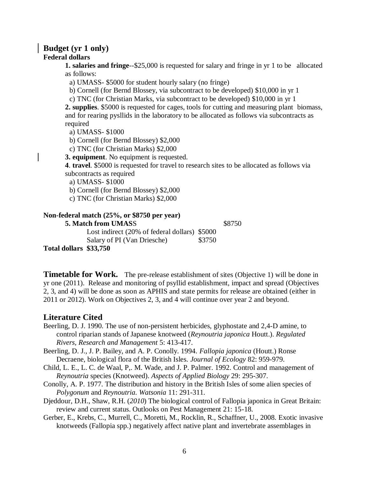#### **Budget (yr 1 only) Federal dollars**

**1. salaries and fringe**--\$25,000 is requested for salary and fringe in yr 1 to be allocated as follows:

a) UMASS- \$5000 for student hourly salary (no fringe)

b) Cornell (for Bernd Blossey, via subcontract to be developed) \$10,000 in yr 1

c) TNC (for Christian Marks, via subcontract to be developed) \$10,000 in yr 1

**2. supplies**. \$5000 is requested for cages, tools for cutting and measuring plant biomass, and for rearing pysllids in the laboratory to be allocated as follows via subcontracts as required

a) UMASS- \$1000

b) Cornell (for Bernd Blossey) \$2,000

c) TNC (for Christian Marks) \$2,000

**3. equipment**. No equipment is requested.

**4**. **travel**. \$5000 is requested for travel to research sites to be allocated as follows via subcontracts as required

a) UMASS- \$1000

b) Cornell (for Bernd Blossey) \$2,000

c) TNC (for Christian Marks) \$2,000

#### **Non-federal match (25%, or \$8750 per year)**

**5. Match from UMASS** \$8750 Lost indirect (20% of federal dollars) \$5000

Salary of PI (Van Driesche) \$3750

**Total dollars \$33,750**

**Timetable for Work.** The pre-release establishment of sites (Objective 1) will be done in yr one (2011). Release and monitoring of psyllid establishment, impact and spread (Objectives 2, 3, and 4) will be done as soon as APHIS and state permits for release are obtained (either in 2011 or 2012). Work on Objectives 2, 3, and 4 will continue over year 2 and beyond.

### **Literature Cited**

- Beerling, D. J. 1990. The use of non-persistent herbicides, glyphostate and 2,4-D amine, to control riparian stands of Japanese knotweed (*Reynoutria japonica* Houtt.). *Regulated Rivers, Research and Management* 5: 413-417.
- Beerling, D. J., J. P. Bailey, and A. P. Conolly. 1994. *Fallopia japonica* (Houtt.) Ronse Decraene, biological flora of the British Isles. *Journal of Ecology* 82: 959-979.
- Child, L. E., L. C. de Waal, P,. M. Wade, and J. P. Palmer. 1992. Control and management of *Reynoutria* species (Knotweed). *Aspects of Applied Biology* 29: 295-307.
- Conolly, A. P. 1977. The distribution and history in the British Isles of some alien species of *Polygonum* and *Reynoutria. Watsonia* 11: 291-311.
- Djeddour, D.H., Shaw*,* R.H. (*2010*) The biological control of Fallopia japonica in Great Britain: review and current status. Outlooks on Pest Management 21: 15-18.
- Gerber, E., Krebs, C., Murrell, C., Moretti, M., Rocklin, R., Schaffner, U., 2008. Exotic invasive knotweeds (Fallopia spp.) negatively affect native plant and invertebrate assemblages in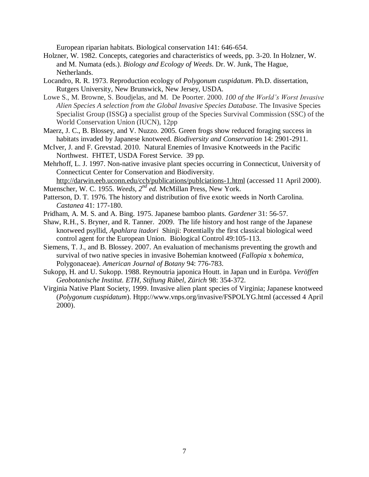European riparian habitats. Biological conservation 141: 646-654.

- Holzner, W. 1982. Concepts, categories and characteristics of weeds, pp. 3-20. In Holzner, W. and M. Numata (eds.). *Biology and Ecology of Weeds*. Dr. W. Junk, The Hague, Netherlands.
- Locandro, R. R. 1973. Reproduction ecology of *Polygonum cuspidatum*. Ph.D. dissertation, Rutgers University, New Brunswick, New Jersey, USDA.
- Lowe S., M. Browne, S. Boudjelas, and M. De Poorter. 2000. *100 of the World's Worst Invasive Alien Species A selection from the Global Invasive Species Database*. The Invasive Species Specialist Group (ISSG**)** a specialist group of the Species Survival Commission (SSC) of the World Conservation Union (IUCN), 12pp
- Maerz, J. C., B. Blossey, and V. Nuzzo. 2005. Green frogs show reduced foraging success in habitats invaded by Japanese knotweed. *Biodiversity and Conservation* 14: 2901-2911.
- McIver, J. and F. Grevstad. 2010. Natural Enemies of Invasive Knotweeds in the Pacific Northwest. FHTET, USDA Forest Service. 39 pp.
- Mehrhoff, L. J. 1997. Non-native invasive plant species occurring in Connecticut, University of Connecticut Center for Conservation and Biodiversity.

<http://darwin.eeb.uconn.edu/ccb/publications/publciations-1.html> (accessed 11 April 2000). Muenscher, W. C. 1955. *Weeds, 2nd ed.* McMillan Press, New York.

- Patterson, D. T. 1976. The history and distribution of five exotic weeds in North Carolina. *Castanea* 41: 177-180.
- Pridham, A. M. S. and A. Bing. 1975. Japanese bamboo plants. *Gardener* 31: 56-57.
- Shaw, R.H., S. Bryner, and R. Tanner. 2009. The life history and host range of the Japanese knotweed psyllid, *Apahlara itadori* Shinji: Potentially the first classical biological weed control agent for the European Union. Biological Control 49:105-113.
- Siemens, T. J., and B. Blossey. 2007. An evaluation of mechanisms preventing the growth and survival of two native species in invasive Bohemian knotweed (*Fallopia* x *bohemica*, Polygonaceae). *American Journal of Botany* 94: 776-783.
- Sukopp, H. and U. Sukopp. 1988. Reynoutria japonica Houtt. in Japan und in Euröpa. *Veröffen Geobotanische Institut. ETH, Stiftung Rübel, Zürich* 98: 354-372.
- Virginia Native Plant Society, 1999. Invasive alien plant species of Virginia; Japanese knotweed (*Polygonum cuspidatum*). Htpp://www.vnps.org/invasive/FSPOLYG.html (accessed 4 April 2000).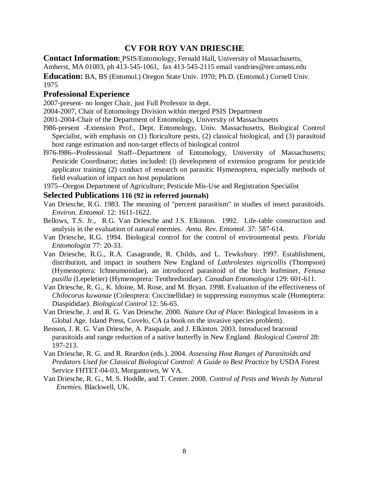# **CV FOR ROY VAN DRIESCHE**

**Contact Information:** PSIS/Entomology, Fernald Hall, University of Massachusetts, Amherst, MA 01003, ph 413-545-1061, fax 413-545-2115 email vandries@nre.umass.edu

**Education:** BA, BS (Entomol.) Oregon State Univ. 1970; Ph.D. (Entomol.) Cornell Univ. 1975

# **Professional Experience**

2007-present- no longer Chair, just Full Professor in dept.

2004-2007, Chair of Entomology Division within merged PSIS Department

2001-2004-Chair of the Department of Entomology, University of Massachusetts

- l986-present -Extension Prof., Dept. Entomology, Univ. Massachusetts, Biological Control Specialist, with emphasis on (1) floriculture pests, (2) classical biological, and (3) parasitoid host range estimation and non-target effects of biological control
- l976-l986--Professional Staff--Department of Entomology, University of Massachusetts; Pesticide Coordinator; duties included: (l) development of extension programs for pesticide applicator training (2) conduct of research on parasitic Hymenoptera, especially methods of field evaluation of impact on host populations

1975--Oregon Department of Agriculture; Pesticide Mis-Use and Registration Specialist

### **Selected Publications 116 (92 in referred journals)**

- Van Driesche, R.G. 1983. The meaning of "percent parasitism" in studies of insect parasitoids. *Environ. Entomol*. 12: 1611-1622.
- Bellows, T.S. Jr., R.G. Van Driesche and J.S. Elkinton. 1992. Life-table construction and analysis in the evaluation of natural enemies. *Annu. Rev. Entomol*. 37: 587-614.
- Van Driesche, R.G. 1994. Biological control for the control of environmental pests. *Florida Entomologist* 77: 20-33.
- Van Driesche, R.G., R.A. Casagrande, R. Childs, and L. Tewksbury. 1997. Establishment, distribution, and impact in southern New England of *Lathrolestes nigricollis* (Thompson) (Hymenoptera: Ichneumonidae), an introduced parasitoid of the birch leafminer*, Fenusa pusilla* (Lepeletier) (Hymenoptera: Tenthredinidae). *Canadian Entomologist* 129: 601-611.
- Van Driesche, R. G., K. Idoine, M. Rose, and M. Bryan. 1998. Evaluation of the effectiveness of *Chilocorus kuwanae* (Coleoptera: Coccinellidae) in suppressing euonymus scale (Homoptera: Diaspididae). *Biological Control* 12: 56-65.
- Van Driesche, J. and R. G. Van Driesche. 2000. *Nature Out of Plac*e: Biological Invasions in a Global Age. Island Press, Covelo, CA (a book on the invasive species problem).
- Benson, J. R. G. Van Driesche, A. Pasquale, and J. Elkinton. 2003. Introduced braconid parasitoids and range reduction of a native butterfly in New England. *Biological Control* 28: 197-213.
- Van Driesche, R. G. and R. Reardon (eds.). 2004. *Assessing Host Ranges of Parasitoids and Predators Used for Classical Biological Control: A Guide to Best Practice* by USDA Forest Service FHTET-04-03, Morgantown, W VA.
- Van Driesche, R. G., M. S. Hoddle, and T. Center. 2008. *Control of Pests and Weeds by Natural Enemies.* Blackwell, UK.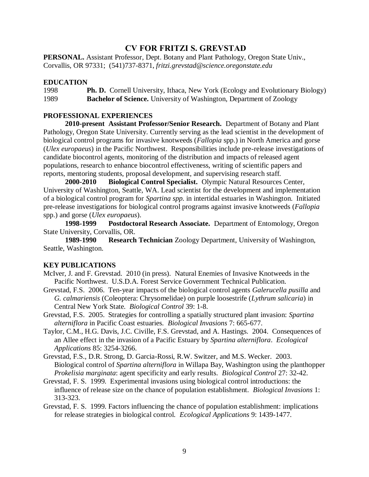# **CV FOR FRITZI S. GREVSTAD**

**PERSONAL.** Assistant Professor, Dept. Botany and Plant Pathology, Oregon State Univ., Corvallis, OR 97331; (541)737-8371, *fritzi.grevstad@science.oregonstate.edu*

#### **EDUCATION**

1998 **Ph. D.** Cornell University, Ithaca, New York (Ecology and Evolutionary Biology) 1989 **Bachelor of Science.** University of Washington, Department of Zoology

### **PROFESSIONAL EXPERIENCES**

**2010-present Assistant Professor/Senior Research.** Department of Botany and Plant Pathology, Oregon State University. Currently serving as the lead scientist in the development of biological control programs for invasive knotweeds (*Fallopia* spp.) in North America and gorse (*Ulex europaeus*) in the Pacific Northwest. Responsibilities include pre-release investigations of candidate biocontrol agents, monitoring of the distribution and impacts of released agent populations, research to enhance biocontrol effectiveness, writing of scientific papers and reports, mentoring students, proposal development, and supervising research staff.

**2000-2010 Biological Control Specialist.** Olympic Natural Resources Center, University of Washington, Seattle, WA. Lead scientist for the development and implementation of a biological control program for *Spartina spp.* in intertidal estuaries in Washington. Initiated pre-release investigations for biological control programs against invasive knotweeds (*Fallopia* spp.) and gorse (*Ulex europaeus*).

**1998-1999 Postdoctoral Research Associate.** Department of Entomology, Oregon State University, Corvallis, OR.

**1989-1990 Research Technician** Zoology Department, University of Washington, Seattle, Washington.

#### **KEY PUBLICATIONS**

- McIver, J. and F. Grevstad. 2010 (in press). Natural Enemies of Invasive Knotweeds in the Pacific Northwest. U.S.D.A. Forest Service Government Technical Publication.
- Grevstad, F.S. 2006. Ten-year impacts of the biological control agents *Galerucella pusilla* and *G. calmariensis* (Coleoptera: Chrysomelidae) on purple loosestrife (*Lythrum salicaria*) in Central New York State. *Biological Control* 39: 1-8.
- Grevstad, F.S. 2005. Strategies for controlling a spatially structured plant invasion: *Spartina alterniflora* in Pacific Coast estuaries. *Biological Invasions* 7: 665-677.
- Taylor, C.M., H.G. Davis, J.C. Civille, F.S. Grevstad, and A. Hastings. 2004. Consequences of an Allee effect in the invasion of a Pacific Estuary by *Spartina alterniflora*. *Ecological Applications* 85: 3254-3266.
- Grevstad, F.S., D.R. Strong, D. Garcia-Rossi, R.W. Switzer, and M.S. Wecker. 2003. Biological control of *Spartina alterniflora* in Willapa Bay, Washington using the planthopper *Prokelisia marginata*: agent specificity and early results. *Biological Control* 27: 32-42.
- Grevstad, F. S. 1999. Experimental invasions using biological control introductions: the influence of release size on the chance of population establishment. *Biological Invasions* 1: 313-323.
- Grevstad, F. S. 1999. Factors influencing the chance of population establishment: implications for release strategies in biological control. *Ecological Applications* 9: 1439-1477.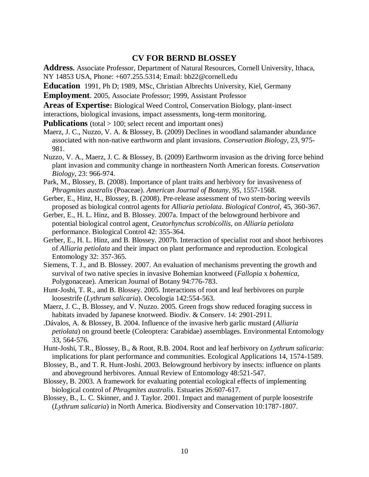# **CV FOR BERND BLOSSEY**

**Address.** Associate Professor, Department of Natural Resources, Cornell University, Ithaca, NY 14853 USA, Phone: +607.255.5314; Email: bb22@cornell.edu

**Education** 1991, Ph D; 1989, MSc, Christian Albrechts University, Kiel, Germany

**Employment**. 2005, Associate Professor; 1999, Assistant Professor

**Areas of Expertise:** Biological Weed Control, Conservation Biology, plant-insect interactions, biological invasions, impact assessments, long-term monitoring.

**Publications** (total > 100; select recent and important ones)

- Maerz, J. C., Nuzzo, V. A. & Blossey, B. (2009) Declines in woodland salamander abundance associated with non-native earthworm and plant invasions. *Conservation Biology,* 23, 975- 981.
- Nuzzo, V. A., Maerz, J. C. & Blossey, B. (2009) Earthworm invasion as the driving force behind plant invasion and community change in northeastern North American forests. *Conservation Biology,* 23: 966-974.
- Park, M., Blossey, B. (2008). Importance of plant traits and herbivory for invasiveness of *Phragmites australis* (Poaceae). *American Journal of Botany, 95*, 1557-1568.
- Gerber, E., Hinz, H., Blossey, B. (2008). Pre-release assessment of two stem-boring weevils proposed as biological control agents for *Alliaria petiolata*. *Biological Control,* 45, 360-367.
- Gerber, E., H. L. Hinz, and B. Blossey. 2007a. Impact of the belowground herbivore and potential biological control agent, *Ceutorhynchus scrobicollis*, on *Alliaria petiolata* performance. Biological Control 42: 355-364.
- Gerber, E., H. L. Hinz, and B. Blossey. 2007b. Interaction of specialist root and shoot herbivores of *Alliaria petiolata* and their impact on plant performance and reproduction. Ecological Entomology 32: 357-365.
- Siemens, T. J., and B. Blossey. 2007. An evaluation of mechanisms preventing the growth and survival of two native species in invasive Bohemian knotweed (*Fallopia* x *bohemica*, Polygonaceae). American Journal of Botany 94:776-783.
- Hunt-Joshi, T. R., and B. Blossey. 2005. Interactions of root and leaf herbivores on purple loosestrife (*Lythrum salicaria*). Oecologia 142:554-563.
- Maerz, J. C., B. Blossey, and V. Nuzzo. 2005. Green frogs show reduced foraging success in habitats invaded by Japanese knotweed. Biodiv. & Conserv. 14: 2901-2911.
- .Dávalos, A. & Blossey, B. 2004. Influence of the invasive herb garlic mustard (*Alliaria petiolata*) on ground beetle (Coleoptera: Carabidae) assemblages. Environmental Entomology 33, 564-576.
- Hunt-Joshi, T.R., Blossey, B., & Root, R.B. 2004. Root and leaf herbivory on *Lythrum salicaria*: implications for plant performance and communities. Ecological Applications 14, 1574-1589.
- Blossey, B., and T. R. Hunt-Joshi. 2003. Belowground herbivory by insects: influence on plants and aboveground herbivores. Annual Review of Entomology 48:521-547.
- Blossey, B. 2003. A framework for evaluating potential ecological effects of implementing biological control of *Phragmites australis*. Estuaries 26:607-617.
- Blossey, B., L. C. Skinner, and J. Taylor. 2001. Impact and management of purple loosestrife (*Lythrum salicaria*) in North America. Biodiversity and Conservation 10:1787-1807.